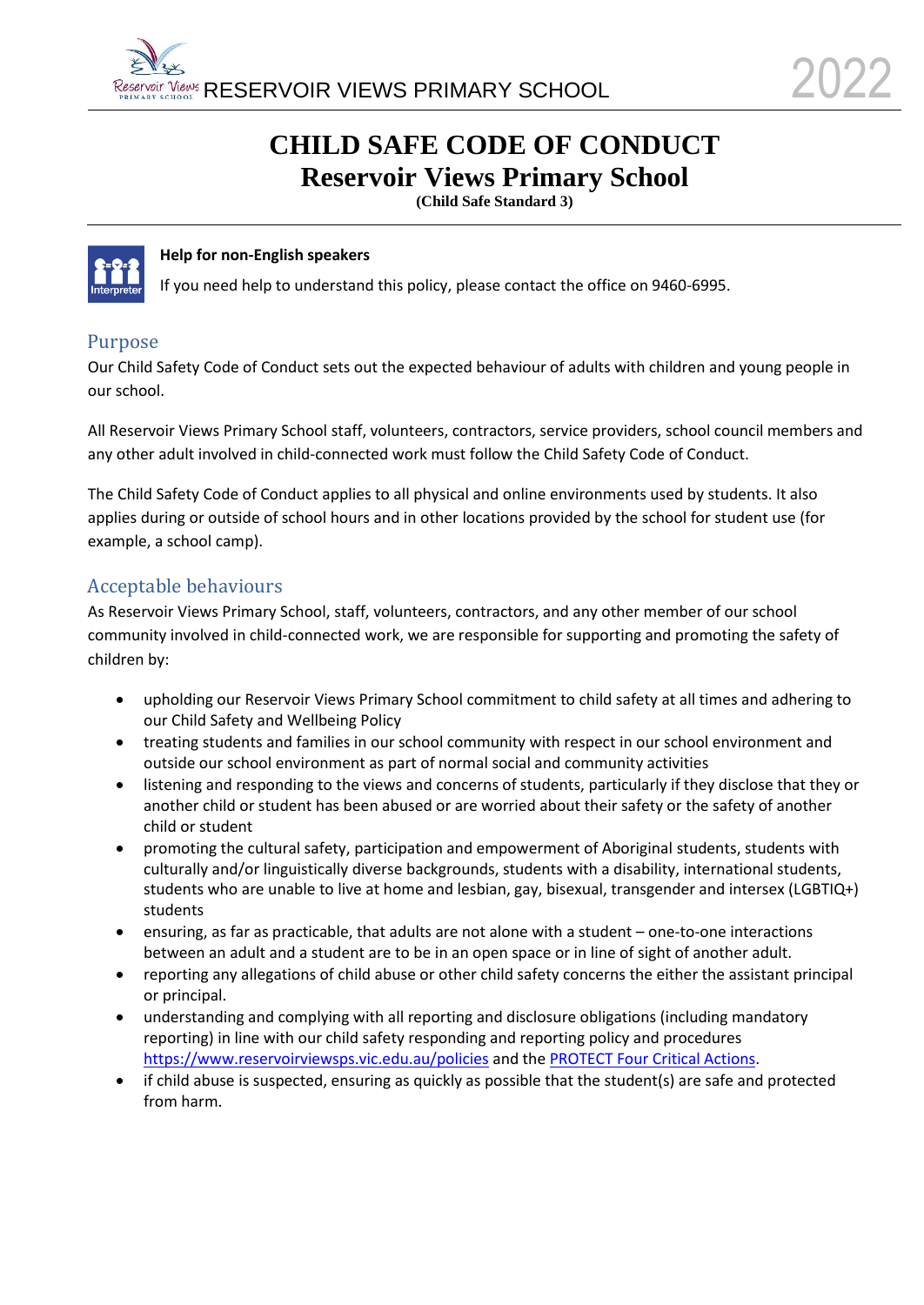# **CHILD SAFE CODE OF CONDUCT Reservoir Views Primary School**

**(Child Safe Standard 3)**



#### **Help for non-English speakers**

If you need help to understand this policy, please contact the office on 9460-6995.

#### Purpose

Our Child Safety Code of Conduct sets out the expected behaviour of adults with children and young people in our school.

All Reservoir Views Primary School staff, volunteers, contractors, service providers, school council members and any other adult involved in child-connected work must follow the Child Safety Code of Conduct.

The Child Safety Code of Conduct applies to all physical and online environments used by students. It also applies during or outside of school hours and in other locations provided by the school for student use (for example, a school camp).

### Acceptable behaviours

As Reservoir Views Primary School, staff, volunteers, contractors, and any other member of our school community involved in child-connected work, we are responsible for supporting and promoting the safety of children by:

- upholding our Reservoir Views Primary School commitment to child safety at all times and adhering to our Child Safety and Wellbeing Policy
- treating students and families in our school community with respect in our school environment and outside our school environment as part of normal social and community activities
- listening and responding to the views and concerns of students, particularly if they disclose that they or another child or student has been abused or are worried about their safety or the safety of another child or student
- promoting the cultural safety, participation and empowerment of Aboriginal students, students with culturally and/or linguistically diverse backgrounds, students with a disability, international students, students who are unable to live at home and lesbian, gay, bisexual, transgender and intersex (LGBTIQ+) students
- ensuring, as far as practicable, that adults are not alone with a student one-to-one interactions between an adult and a student are to be in an open space or in line of sight of another adult.
- reporting any allegations of child abuse or other child safety concerns the either the assistant principal or principal.
- understanding and complying with all reporting and disclosure obligations (including mandatory reporting) in line with our child safety responding and reporting policy and procedures <https://www.reservoirviewsps.vic.edu.au/policies> and th[e PROTECT Four Critical Actions.](https://www.education.vic.gov.au/Documents/about/programs/health/protect/FourCriticalActions_ChildAbuse.pdf)
- if child abuse is suspected, ensuring as quickly as possible that the student(s) are safe and protected from harm.